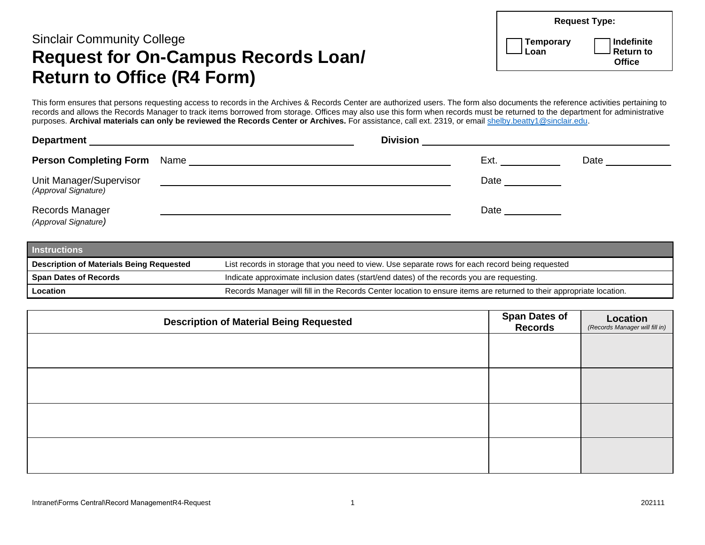## Sinclair Community College **Request for On-Campus Records Loan/ Return to Office (R4 Form)**

|                   | <b>Request Type:</b>                  |  |  |
|-------------------|---------------------------------------|--|--|
| Temporary<br>Loan | ] Indefinite<br>] Return to<br>Office |  |  |

This form ensures that persons requesting access to records in the Archives & Records Center are authorized users. The form also documents the reference activities pertaining to records and allows the Records Manager to track items borrowed from storage. Offices may also use this form when records must be returned to the department for administrative purposes. **Archival materials can only be reviewed the Records Center or Archives.** For assistance, call ext. 2319, or email [shelby.beatty1@sinclair.edu.](mailto:shelby.beatty1@sinclair.edu)

| <b>Department</b><br><u> 1989 - Johann Stoff, deutscher Stoff, der Stoff, der Stoff, der Stoff, der Stoff, der Stoff, der Stoff, der S</u> | <b>Division</b>                                          |      |      |  |
|--------------------------------------------------------------------------------------------------------------------------------------------|----------------------------------------------------------|------|------|--|
| <b>Person Completing Form</b> Name                                                                                                         | <u> 1989 - John Stein, amerikansk politiker (* 1989)</u> | Ext. | Date |  |
| Unit Manager/Supervisor<br>(Approval Signature)                                                                                            |                                                          | Date |      |  |
| Records Manager<br>(Approval Signature)                                                                                                    |                                                          | Date |      |  |

| <b>Instructions</b>                             |                                                                                                                      |  |  |  |
|-------------------------------------------------|----------------------------------------------------------------------------------------------------------------------|--|--|--|
| <b>Description of Materials Being Requested</b> | List records in storage that you need to view. Use separate rows for each record being requested                     |  |  |  |
| <b>Span Dates of Records</b>                    | Indicate approximate inclusion dates (start/end dates) of the records you are requesting.                            |  |  |  |
| <b>Location</b>                                 | Records Manager will fill in the Records Center location to ensure items are returned to their appropriate location. |  |  |  |

| <b>Description of Material Being Requested</b> | <b>Span Dates of<br/>Records</b> | Location<br>(Records Manager will fill in) |
|------------------------------------------------|----------------------------------|--------------------------------------------|
|                                                |                                  |                                            |
|                                                |                                  |                                            |
|                                                |                                  |                                            |
|                                                |                                  |                                            |
|                                                |                                  |                                            |
|                                                |                                  |                                            |